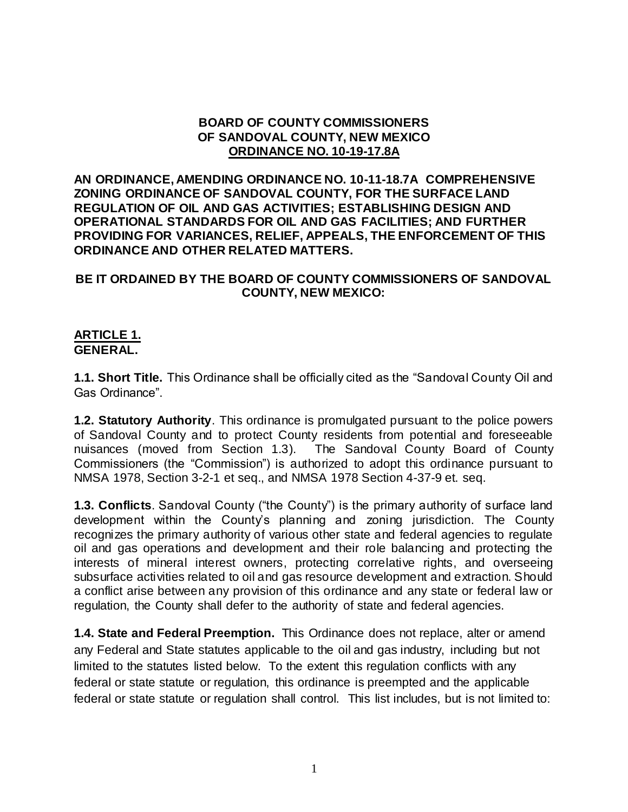#### **BOARD OF COUNTY COMMISSIONERS OF SANDOVAL COUNTY, NEW MEXICO ORDINANCE NO. 10-19-17.8A**

**AN ORDINANCE, AMENDING ORDINANCE NO. 10-11-18.7A COMPREHENSIVE ZONING ORDINANCE OF SANDOVAL COUNTY, FOR THE SURFACE LAND REGULATION OF OIL AND GAS ACTIVITIES; ESTABLISHING DESIGN AND OPERATIONAL STANDARDS FOR OIL AND GAS FACILITIES; AND FURTHER PROVIDING FOR VARIANCES, RELIEF, APPEALS, THE ENFORCEMENT OF THIS ORDINANCE AND OTHER RELATED MATTERS.**

#### **BE IT ORDAINED BY THE BOARD OF COUNTY COMMISSIONERS OF SANDOVAL COUNTY, NEW MEXICO:**

#### **ARTICLE 1. GENERAL.**

**1.1. Short Title.** This Ordinance shall be officially cited as the "Sandoval County Oil and Gas Ordinance".

**1.2. Statutory Authority**. This ordinance is promulgated pursuant to the police powers of Sandoval County and to protect County residents from potential and foreseeable nuisances (moved from Section 1.3). The Sandoval County Board of County Commissioners (the "Commission") is authorized to adopt this ordinance pursuant to NMSA 1978, Section 3-2-1 et seq., and NMSA 1978 Section 4-37-9 et. seq.

**1.3. Conflicts**. Sandoval County ("the County") is the primary authority of surface land development within the County's planning and zoning jurisdiction. The County recognizes the primary authority of various other state and federal agencies to regulate oil and gas operations and development and their role balancing and protecting the interests of mineral interest owners, protecting correlative rights, and overseeing subsurface activities related to oil and gas resource development and extraction. Should a conflict arise between any provision of this ordinance and any state or federal law or regulation, the County shall defer to the authority of state and federal agencies.

**1.4. State and Federal Preemption.** This Ordinance does not replace, alter or amend any Federal and State statutes applicable to the oil and gas industry, including but not limited to the statutes listed below. To the extent this regulation conflicts with any federal or state statute or regulation, this ordinance is preempted and the applicable federal or state statute or regulation shall control. This list includes, but is not limited to: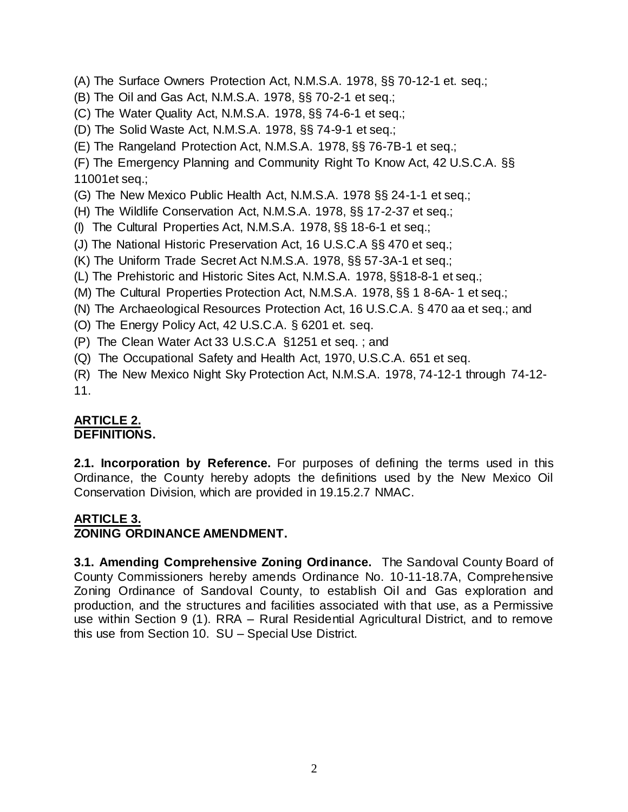- (A) The Surface Owners Protection Act, N.M.S.A. 1978, §§ 70-12-1 et. seq.;
- (B) The Oil and Gas Act, N.M.S.A. 1978, §§ 70-2-1 et seq.;
- (C) The Water Quality Act, N.M.S.A. 1978, §§ 74-6-1 et seq.;
- (D) The Solid Waste Act, N.M.S.A. 1978, §§ 74-9-1 et seq.;
- (E) The Rangeland Protection Act, N.M.S.A. 1978, §§ 76-7B-1 et seq.;

(F) The Emergency Planning and Community Right To Know Act, 42 U.S.C.A. §§ 11001et seq.;

- (G) The New Mexico Public Health Act, N.M.S.A. 1978 §§ 24-1-1 et seq.;
- (H) The Wildlife Conservation Act, N.M.S.A. 1978, §§ 17-2-37 et seq.;
- (I) The Cultural Properties Act, N.M.S.A. 1978, §§ 18-6-1 et seq.;
- (J) The National Historic Preservation Act, 16 U.S.C.A §§ 470 et seq.;
- (K) The Uniform Trade Secret Act N.M.S.A. 1978, §§ 57-3A-1 et seq.;
- (L) The Prehistoric and Historic Sites Act, N.M.S.A. 1978, §§18-8-1 et seq.;
- (M) The Cultural Properties Protection Act, N.M.S.A. 1978, §§ 1 8-6A- 1 et seq.;
- (N) The Archaeological Resources Protection Act, 16 U.S.C.A. § 470 aa et seq.; and
- (O) The Energy Policy Act, 42 U.S.C.A. § 6201 et. seq.
- (P) The Clean Water Act 33 U.S.C.A §1251 et seq. ; and
- (Q) The Occupational Safety and Health Act, 1970, U.S.C.A. 651 et seq.

(R) The New Mexico Night Sky Protection Act, N.M.S.A. 1978, 74-12-1 through 74-12- 11.

# **ARTICLE 2.**

## **DEFINITIONS.**

**2.1. Incorporation by Reference.** For purposes of defining the terms used in this Ordinance, the County hereby adopts the definitions used by the New Mexico Oil Conservation Division, which are provided in 19.15.2.7 NMAC.

### **ARTICLE 3.**

### **ZONING ORDINANCE AMENDMENT.**

**3.1. Amending Comprehensive Zoning Ordinance.** The Sandoval County Board of County Commissioners hereby amends Ordinance No. 10-11-18.7A, Comprehensive Zoning Ordinance of Sandoval County, to establish Oil and Gas exploration and production, and the structures and facilities associated with that use, as a Permissive use within Section 9 (1). RRA – Rural Residential Agricultural District, and to remove this use from Section 10. SU – Special Use District.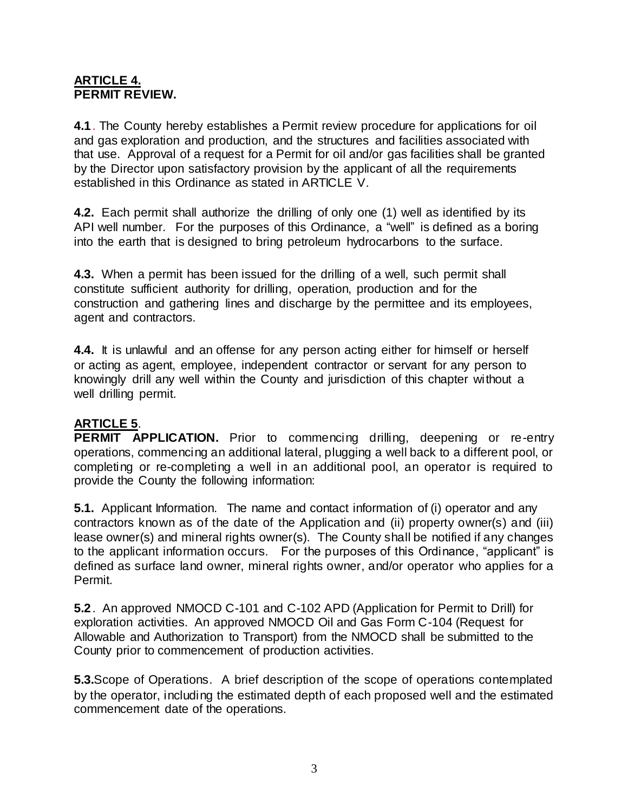#### **ARTICLE 4. PERMIT REVIEW.**

**4.1**. The County hereby establishes a Permit review procedure for applications for oil and gas exploration and production, and the structures and facilities associated with that use. Approval of a request for a Permit for oil and/or gas facilities shall be granted by the Director upon satisfactory provision by the applicant of all the requirements established in this Ordinance as stated in ARTICLE V.

**4.2.** Each permit shall authorize the drilling of only one (1) well as identified by its API well number. For the purposes of this Ordinance, a "well" is defined as a boring into the earth that is designed to bring petroleum hydrocarbons to the surface.

**4.3.** When a permit has been issued for the drilling of a well, such permit shall constitute sufficient authority for drilling, operation, production and for the construction and gathering lines and discharge by the permittee and its employees, agent and contractors.

**4.4.** It is unlawful and an offense for any person acting either for himself or herself or acting as agent, employee, independent contractor or servant for any person to knowingly drill any well within the County and jurisdiction of this chapter without a well drilling permit.

### **ARTICLE 5**.

**PERMIT APPLICATION.** Prior to commencing drilling, deepening or re-entry operations, commencing an additional lateral, plugging a well back to a different pool, or completing or re-completing a well in an additional pool, an operator is required to provide the County the following information:

**5.1.** Applicant Information. The name and contact information of (i) operator and any contractors known as of the date of the Application and (ii) property owner(s) and (iii) lease owner(s) and mineral rights owner(s). The County shall be notified if any changes to the applicant information occurs. For the purposes of this Ordinance, "applicant" is defined as surface land owner, mineral rights owner, and/or operator who applies for a Permit.

**5.2**. An approved NMOCD C-101 and C-102 APD (Application for Permit to Drill) for exploration activities. An approved NMOCD Oil and Gas Form C-104 (Request for Allowable and Authorization to Transport) from the NMOCD shall be submitted to the County prior to commencement of production activities.

**5.3.**Scope of Operations. A brief description of the scope of operations contemplated by the operator, including the estimated depth of each proposed well and the estimated commencement date of the operations.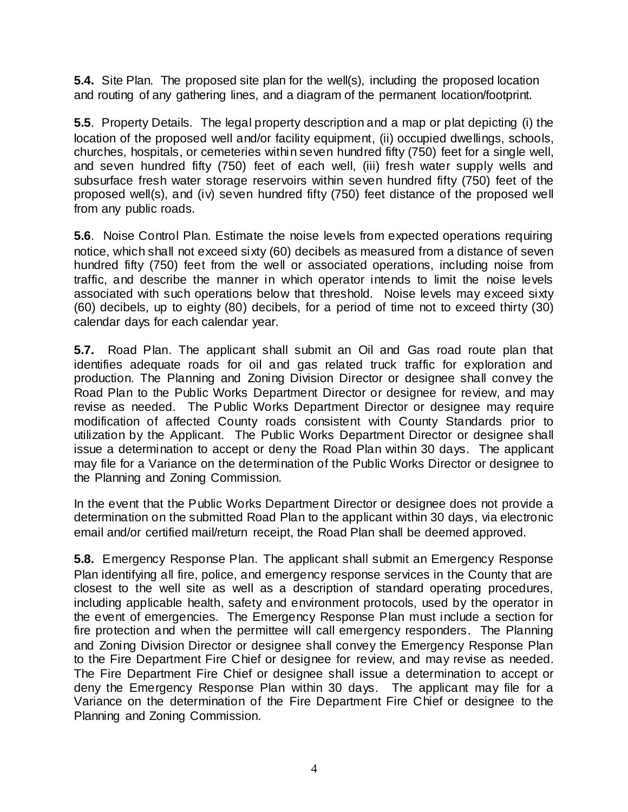**5.4.** Site Plan. The proposed site plan for the well(s), including the proposed location and routing of any gathering lines, and a diagram of the permanent location/footprint.

**5.5**. Property Details. The legal property description and a map or plat depicting (i) the location of the proposed well and/or facility equipment, (ii) occupied dwellings, schools, churches, hospitals, or cemeteries within seven hundred fifty (750) feet for a single well, and seven hundred fifty (750) feet of each well, (iii) fresh water supply wells and subsurface fresh water storage reservoirs within seven hundred fifty (750) feet of the proposed well(s), and (iv) seven hundred fifty (750) feet distance of the proposed well from any public roads.

**5.6**. Noise Control Plan. Estimate the noise levels from expected operations requiring notice, which shall not exceed sixty (60) decibels as measured from a distance of seven hundred fifty (750) feet from the well or associated operations, including noise from traffic, and describe the manner in which operator intends to limit the noise levels associated with such operations below that threshold. Noise levels may exceed sixty (60) decibels, up to eighty (80) decibels, for a period of time not to exceed thirty (30) calendar days for each calendar year.

**5.7.** Road Plan. The applicant shall submit an Oil and Gas road route plan that identifies adequate roads for oil and gas related truck traffic for exploration and production. The Planning and Zoning Division Director or designee shall convey the Road Plan to the Public Works Department Director or designee for review, and may revise as needed. The Public Works Department Director or designee may require modification of affected County roads consistent with County Standards prior to utilization by the Applicant. The Public Works Department Director or designee shall issue a determination to accept or deny the Road Plan within 30 days. The applicant may file for a Variance on the determination of the Public Works Director or designee to the Planning and Zoning Commission.

In the event that the Public Works Department Director or designee does not provide a determination on the submitted Road Plan to the applicant within 30 days, via electronic email and/or certified mail/return receipt, the Road Plan shall be deemed approved.

**5.8.** Emergency Response Plan. The applicant shall submit an Emergency Response Plan identifying all fire, police, and emergency response services in the County that are closest to the well site as well as a description of standard operating procedures, including applicable health, safety and environment protocols, used by the operator in the event of emergencies. The Emergency Response Plan must include a section for fire protection and when the permittee will call emergency responders. The Planning and Zoning Division Director or designee shall convey the Emergency Response Plan to the Fire Department Fire Chief or designee for review, and may revise as needed. The Fire Department Fire Chief or designee shall issue a determination to accept or deny the Emergency Response Plan within 30 days. The applicant may file for a Variance on the determination of the Fire Department Fire Chief or designee to the Planning and Zoning Commission.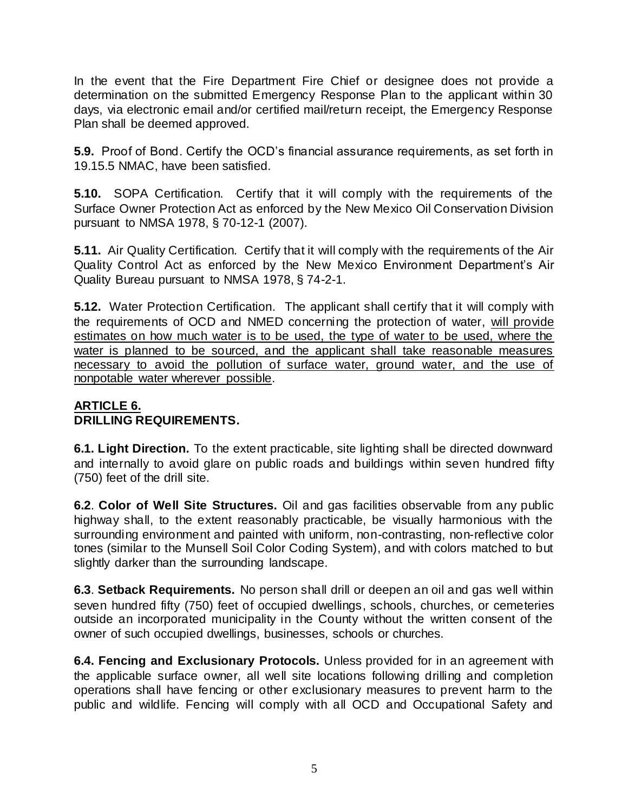In the event that the Fire Department Fire Chief or designee does not provide a determination on the submitted Emergency Response Plan to the applicant within 30 days, via electronic email and/or certified mail/return receipt, the Emergency Response Plan shall be deemed approved.

**5.9.** Proof of Bond. Certify the OCD's financial assurance requirements, as set forth in 19.15.5 NMAC, have been satisfied.

**5.10.** SOPA Certification. Certify that it will comply with the requirements of the Surface Owner Protection Act as enforced by the New Mexico Oil Conservation Division pursuant to NMSA 1978, § 70-12-1 (2007).

**5.11.** Air Quality Certification. Certify that it will comply with the requirements of the Air Quality Control Act as enforced by the New Mexico Environment Department's Air Quality Bureau pursuant to NMSA 1978, § 74-2-1.

**5.12.** Water Protection Certification. The applicant shall certify that it will comply with the requirements of OCD and NMED concerning the protection of water, will provide estimates on how much water is to be used, the type of water to be used, where the water is planned to be sourced, and the applicant shall take reasonable measures necessary to avoid the pollution of surface water, ground water, and the use of nonpotable water wherever possible.

## **ARTICLE 6. DRILLING REQUIREMENTS.**

**6.1. Light Direction.** To the extent practicable, site lighting shall be directed downward and internally to avoid glare on public roads and buildings within seven hundred fifty (750) feet of the drill site.

**6.2**. **Color of Well Site Structures.** Oil and gas facilities observable from any public highway shall, to the extent reasonably practicable, be visually harmonious with the surrounding environment and painted with uniform, non-contrasting, non-reflective color tones (similar to the Munsell Soil Color Coding System), and with colors matched to but slightly darker than the surrounding landscape.

**6.3**. **Setback Requirements.** No person shall drill or deepen an oil and gas well within seven hundred fifty (750) feet of occupied dwellings, schools, churches, or cemeteries outside an incorporated municipality in the County without the written consent of the owner of such occupied dwellings, businesses, schools or churches.

**6.4. Fencing and Exclusionary Protocols.** Unless provided for in an agreement with the applicable surface owner, all well site locations following drilling and completion operations shall have fencing or other exclusionary measures to prevent harm to the public and wildlife. Fencing will comply with all OCD and Occupational Safety and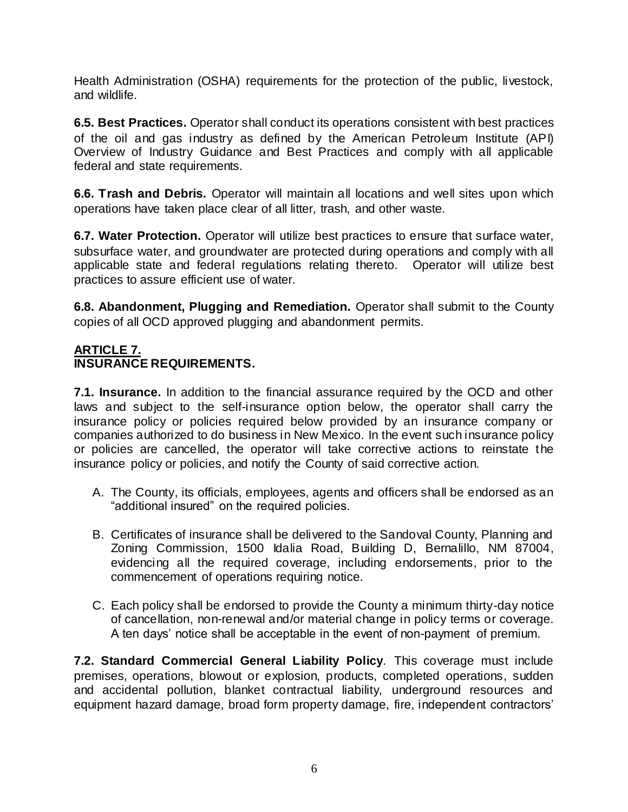Health Administration (OSHA) requirements for the protection of the public, livestock, and wildlife.

**6.5. Best Practices.** Operator shall conduct its operations consistent with best practices of the oil and gas industry as defined by the American Petroleum Institute (API) Overview of Industry Guidance and Best Practices and comply with all applicable federal and state requirements.

**6.6. Trash and Debris.** Operator will maintain all locations and well sites upon which operations have taken place clear of all litter, trash, and other waste.

**6.7. Water Protection.** Operator will utilize best practices to ensure that surface water, subsurface water, and groundwater are protected during operations and comply with all applicable state and federal regulations relating thereto. Operator will utilize best practices to assure efficient use of water.

**6.8. Abandonment, Plugging and Remediation.** Operator shall submit to the County copies of all OCD approved plugging and abandonment permits.

### **ARTICLE 7. INSURANCE REQUIREMENTS.**

**7.1. Insurance.** In addition to the financial assurance required by the OCD and other laws and subject to the self-insurance option below, the operator shall carry the insurance policy or policies required below provided by an insurance company or companies authorized to do business in New Mexico. In the event such insurance policy or policies are cancelled, the operator will take corrective actions to reinstate the insurance policy or policies, and notify the County of said corrective action.

- A. The County, its officials, employees, agents and officers shall be endorsed as an "additional insured" on the required policies.
- B. Certificates of insurance shall be delivered to the Sandoval County, Planning and Zoning Commission, 1500 Idalia Road, Building D, Bernalillo, NM 87004, evidencing all the required coverage, including endorsements, prior to the commencement of operations requiring notice.
- C. Each policy shall be endorsed to provide the County a minimum thirty-day notice of cancellation, non-renewal and/or material change in policy terms or coverage. A ten days' notice shall be acceptable in the event of non-payment of premium.

**7.2. Standard Commercial General Liability Policy***.* This coverage must include premises, operations, blowout or explosion, products, completed operations, sudden and accidental pollution, blanket contractual liability, underground resources and equipment hazard damage, broad form property damage, fire, independent contractors'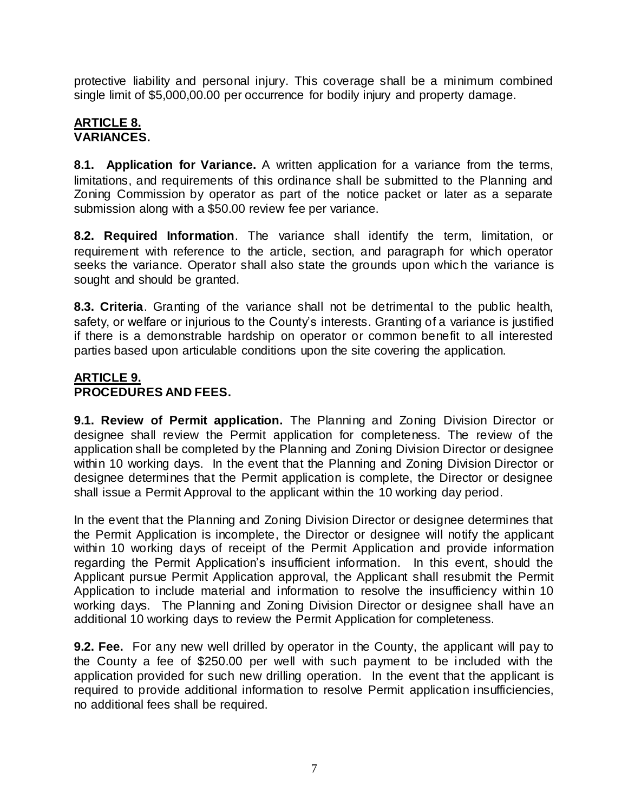protective liability and personal injury. This coverage shall be a minimum combined single limit of \$5,000,00.00 per occurrence for bodily injury and property damage.

### **ARTICLE 8. VARIANCES.**

**8.1. Application for Variance.** A written application for a variance from the terms, limitations, and requirements of this ordinance shall be submitted to the Planning and Zoning Commission by operator as part of the notice packet or later as a separate submission along with a \$50.00 review fee per variance.

**8.2. Required Information**. The variance shall identify the term, limitation, or requirement with reference to the article, section, and paragraph for which operator seeks the variance. Operator shall also state the grounds upon which the variance is sought and should be granted.

**8.3. Criteria**. Granting of the variance shall not be detrimental to the public health, safety, or welfare or injurious to the County's interests. Granting of a variance is justified if there is a demonstrable hardship on operator or common benefit to all interested parties based upon articulable conditions upon the site covering the application.

## **ARTICLE 9. PROCEDURES AND FEES.**

**9.1. Review of Permit application.** The Planning and Zoning Division Director or designee shall review the Permit application for completeness. The review of the application shall be completed by the Planning and Zoning Division Director or designee within 10 working days. In the event that the Planning and Zoning Division Director or designee determines that the Permit application is complete, the Director or designee shall issue a Permit Approval to the applicant within the 10 working day period.

In the event that the Planning and Zoning Division Director or designee determines that the Permit Application is incomplete, the Director or designee will notify the applicant within 10 working days of receipt of the Permit Application and provide information regarding the Permit Application's insufficient information. In this event, should the Applicant pursue Permit Application approval, the Applicant shall resubmit the Permit Application to include material and information to resolve the insufficiency within 10 working days. The Planning and Zoning Division Director or designee shall have an additional 10 working days to review the Permit Application for completeness.

**9.2. Fee.** For any new well drilled by operator in the County, the applicant will pay to the County a fee of \$250.00 per well with such payment to be included with the application provided for such new drilling operation. In the event that the applicant is required to provide additional information to resolve Permit application insufficiencies, no additional fees shall be required.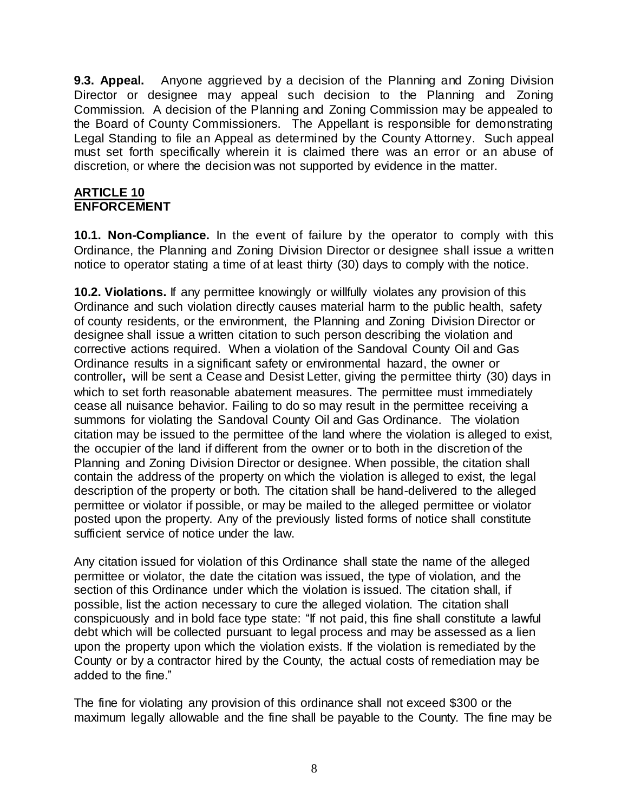**9.3. Appeal.** Anyone aggrieved by a decision of the Planning and Zoning Division Director or designee may appeal such decision to the Planning and Zoning Commission. A decision of the Planning and Zoning Commission may be appealed to the Board of County Commissioners. The Appellant is responsible for demonstrating Legal Standing to file an Appeal as determined by the County Attorney. Such appeal must set forth specifically wherein it is claimed there was an error or an abuse of discretion, or where the decision was not supported by evidence in the matter.

#### **ARTICLE 10 ENFORCEMENT**

**10.1. Non-Compliance.** In the event of failure by the operator to comply with this Ordinance, the Planning and Zoning Division Director or designee shall issue a written notice to operator stating a time of at least thirty (30) days to comply with the notice.

**10.2. Violations.** If any permittee knowingly or willfully violates any provision of this Ordinance and such violation directly causes material harm to the public health, safety of county residents, or the environment, the Planning and Zoning Division Director or designee shall issue a written citation to such person describing the violation and corrective actions required. When a violation of the Sandoval County Oil and Gas Ordinance results in a significant safety or environmental hazard, the owner or controller**,** will be sent a Cease and Desist Letter, giving the permittee thirty (30) days in which to set forth reasonable abatement measures. The permittee must immediately cease all nuisance behavior. Failing to do so may result in the permittee receiving a summons for violating the Sandoval County Oil and Gas Ordinance. The violation citation may be issued to the permittee of the land where the violation is alleged to exist, the occupier of the land if different from the owner or to both in the discretion of the Planning and Zoning Division Director or designee. When possible, the citation shall contain the address of the property on which the violation is alleged to exist, the legal description of the property or both. The citation shall be hand-delivered to the alleged permittee or violator if possible, or may be mailed to the alleged permittee or violator posted upon the property. Any of the previously listed forms of notice shall constitute sufficient service of notice under the law.

Any citation issued for violation of this Ordinance shall state the name of the alleged permittee or violator, the date the citation was issued, the type of violation, and the section of this Ordinance under which the violation is issued. The citation shall, if possible, list the action necessary to cure the alleged violation. The citation shall conspicuously and in bold face type state: "If not paid, this fine shall constitute a lawful debt which will be collected pursuant to legal process and may be assessed as a lien upon the property upon which the violation exists. If the violation is remediated by the County or by a contractor hired by the County, the actual costs of remediation may be added to the fine."

The fine for violating any provision of this ordinance shall not exceed \$300 or the maximum legally allowable and the fine shall be payable to the County. The fine may be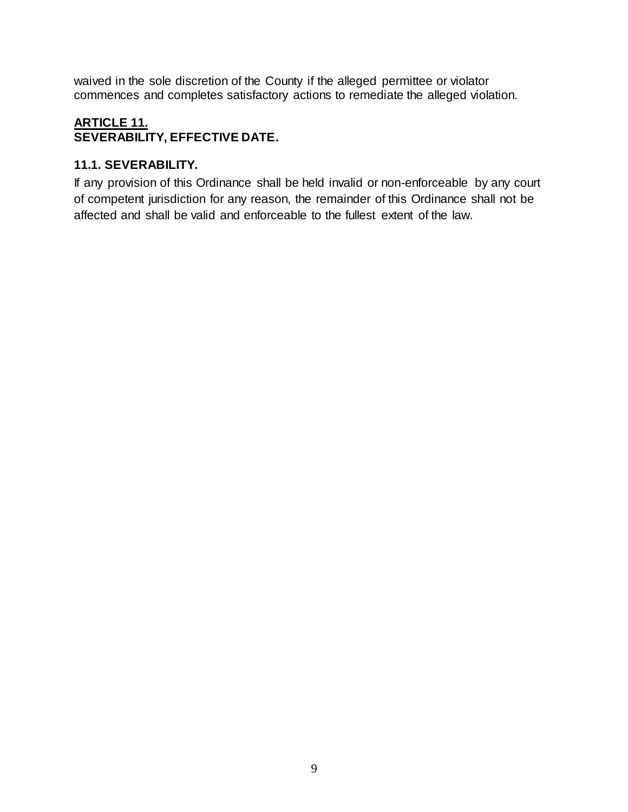waived in the sole discretion of the County if the alleged permittee or violator commences and completes satisfactory actions to remediate the alleged violation.

## **ARTICLE 11. SEVERABILITY, EFFECTIVE DATE.**

## **11.1. SEVERABILITY.**

If any provision of this Ordinance shall be held invalid or non-enforceable by any court of competent jurisdiction for any reason, the remainder of this Ordinance shall not be affected and shall be valid and enforceable to the fullest extent of the law.